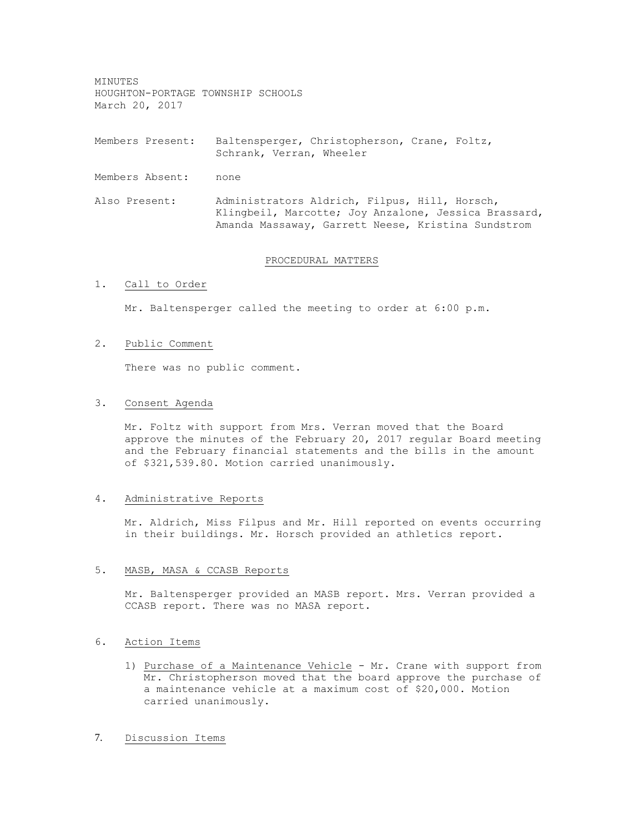MINUTES HOUGHTON-PORTAGE TOWNSHIP SCHOOLS March 20, 2017

Members Present: Baltensperger, Christopherson, Crane, Foltz, Schrank, Verran, Wheeler

Members Absent: none

Also Present: Administrators Aldrich, Filpus, Hill, Horsch, Klingbeil, Marcotte; Joy Anzalone, Jessica Brassard, Amanda Massaway, Garrett Neese, Kristina Sundstrom

#### PROCEDURAL MATTERS

## 1. Call to Order

Mr. Baltensperger called the meeting to order at 6:00 p.m.

#### 2. Public Comment

There was no public comment.

#### 3. Consent Agenda

Mr. Foltz with support from Mrs. Verran moved that the Board approve the minutes of the February 20, 2017 regular Board meeting and the February financial statements and the bills in the amount of \$321,539.80. Motion carried unanimously.

## 4. Administrative Reports

Mr. Aldrich, Miss Filpus and Mr. Hill reported on events occurring in their buildings. Mr. Horsch provided an athletics report.

#### 5. MASB, MASA & CCASB Reports

Mr. Baltensperger provided an MASB report. Mrs. Verran provided a CCASB report. There was no MASA report.

# 6. Action Items

- 1) Purchase of a Maintenance Vehicle Mr. Crane with support from Mr. Christopherson moved that the board approve the purchase of a maintenance vehicle at a maximum cost of \$20,000. Motion carried unanimously.
- 7. Discussion Items